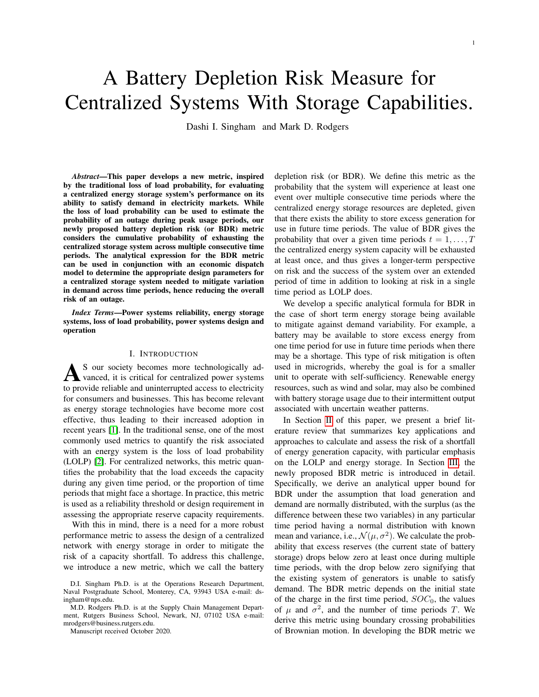# A Battery Depletion Risk Measure for Centralized Systems With Storage Capabilities.

Dashi I. Singham and Mark D. Rodgers

*Abstract*—This paper develops a new metric, inspired by the traditional loss of load probability, for evaluating a centralized energy storage system's performance on its ability to satisfy demand in electricity markets. While the loss of load probability can be used to estimate the probability of an outage during peak usage periods, our newly proposed battery depletion risk (or BDR) metric considers the cumulative probability of exhausting the centralized storage system across multiple consecutive time periods. The analytical expression for the BDR metric can be used in conjunction with an economic dispatch model to determine the appropriate design parameters for a centralized storage system needed to mitigate variation in demand across time periods, hence reducing the overall risk of an outage.

*Index Terms*—Power systems reliability, energy storage systems, loss of load probability, power systems design and operation

## I. INTRODUCTION

A S our society becomes more technologically advanced, it is critical for centralized power systems to provide reliable and uninterrupted access to electricity S our society becomes more technologically advanced, it is critical for centralized power systems for consumers and businesses. This has become relevant as energy storage technologies have become more cost effective, thus leading to their increased adoption in recent years [\[1\]](#page-7-0). In the traditional sense, one of the most commonly used metrics to quantify the risk associated with an energy system is the loss of load probability (LOLP) [\[2\]](#page-7-1). For centralized networks, this metric quantifies the probability that the load exceeds the capacity during any given time period, or the proportion of time periods that might face a shortage. In practice, this metric is used as a reliability threshold or design requirement in assessing the appropriate reserve capacity requirements.

With this in mind, there is a need for a more robust performance metric to assess the design of a centralized network with energy storage in order to mitigate the risk of a capacity shortfall. To address this challenge, we introduce a new metric, which we call the battery

Manuscript received October 2020.

depletion risk (or BDR). We define this metric as the probability that the system will experience at least one event over multiple consecutive time periods where the centralized energy storage resources are depleted, given that there exists the ability to store excess generation for use in future time periods. The value of BDR gives the probability that over a given time periods  $t = 1, \ldots, T$ the centralized energy system capacity will be exhausted at least once, and thus gives a longer-term perspective on risk and the success of the system over an extended period of time in addition to looking at risk in a single time period as LOLP does.

We develop a specific analytical formula for BDR in the case of short term energy storage being available to mitigate against demand variability. For example, a battery may be available to store excess energy from one time period for use in future time periods when there may be a shortage. This type of risk mitigation is often used in microgrids, whereby the goal is for a smaller unit to operate with self-sufficiency. Renewable energy resources, such as wind and solar, may also be combined with battery storage usage due to their intermittent output associated with uncertain weather patterns.

In Section [II](#page-1-0) of this paper, we present a brief literature review that summarizes key applications and approaches to calculate and assess the risk of a shortfall of energy generation capacity, with particular emphasis on the LOLP and energy storage. In Section [III,](#page-2-0) the newly proposed BDR metric is introduced in detail. Specifically, we derive an analytical upper bound for BDR under the assumption that load generation and demand are normally distributed, with the surplus (as the difference between these two variables) in any particular time period having a normal distribution with known mean and variance, i.e.,  $\mathcal{N}(\mu, \sigma^2)$ . We calculate the probability that excess reserves (the current state of battery storage) drops below zero at least once during multiple time periods, with the drop below zero signifying that the existing system of generators is unable to satisfy demand. The BDR metric depends on the initial state of the charge in the first time period,  $SOC<sub>0</sub>$ , the values of  $\mu$  and  $\sigma^2$ , and the number of time periods T. We derive this metric using boundary crossing probabilities of Brownian motion. In developing the BDR metric we

D.I. Singham Ph.D. is at the Operations Research Department, Naval Postgraduate School, Monterey, CA, 93943 USA e-mail: dsingham@nps.edu.

M.D. Rodgers Ph.D. is at the Supply Chain Management Department, Rutgers Business School, Newark, NJ, 07102 USA e-mail: mrodgers@business.rutgers.edu.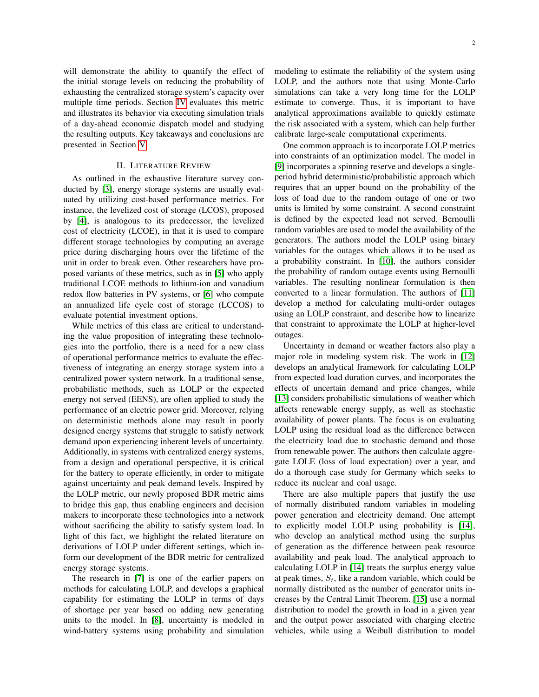will demonstrate the ability to quantify the effect of the initial storage levels on reducing the probability of exhausting the centralized storage system's capacity over multiple time periods. Section [IV](#page-3-0) evaluates this metric and illustrates its behavior via executing simulation trials of a day-ahead economic dispatch model and studying the resulting outputs. Key takeaways and conclusions are presented in Section [V.](#page-6-0)

## II. LITERATURE REVIEW

<span id="page-1-0"></span>As outlined in the exhaustive literature survey conducted by [\[3\]](#page-7-2), energy storage systems are usually evaluated by utilizing cost-based performance metrics. For instance, the levelized cost of storage (LCOS), proposed by [\[4\]](#page-7-3), is analogous to its predecessor, the levelized cost of electricity (LCOE), in that it is used to compare different storage technologies by computing an average price during discharging hours over the lifetime of the unit in order to break even. Other researchers have proposed variants of these metrics, such as in [\[5\]](#page-7-4) who apply traditional LCOE methods to lithium-ion and vanadium redox flow batteries in PV systems, or [\[6\]](#page-7-5) who compute an annualized life cycle cost of storage (LCCOS) to evaluate potential investment options.

While metrics of this class are critical to understanding the value proposition of integrating these technologies into the portfolio, there is a need for a new class of operational performance metrics to evaluate the effectiveness of integrating an energy storage system into a centralized power system network. In a traditional sense, probabilistic methods, such as LOLP or the expected energy not served (EENS), are often applied to study the performance of an electric power grid. Moreover, relying on deterministic methods alone may result in poorly designed energy systems that struggle to satisfy network demand upon experiencing inherent levels of uncertainty. Additionally, in systems with centralized energy systems, from a design and operational perspective, it is critical for the battery to operate efficiently, in order to mitigate against uncertainty and peak demand levels. Inspired by the LOLP metric, our newly proposed BDR metric aims to bridge this gap, thus enabling engineers and decision makers to incorporate these technologies into a network without sacrificing the ability to satisfy system load. In light of this fact, we highlight the related literature on derivations of LOLP under different settings, which inform our development of the BDR metric for centralized energy storage systems.

The research in [\[7\]](#page-7-6) is one of the earlier papers on methods for calculating LOLP, and develops a graphical capability for estimating the LOLP in terms of days of shortage per year based on adding new generating units to the model. In [\[8\]](#page-7-7), uncertainty is modeled in wind-battery systems using probability and simulation modeling to estimate the reliability of the system using LOLP, and the authors note that using Monte-Carlo simulations can take a very long time for the LOLP estimate to converge. Thus, it is important to have analytical approximations available to quickly estimate the risk associated with a system, which can help further calibrate large-scale computational experiments.

One common approach is to incorporate LOLP metrics into constraints of an optimization model. The model in [\[9\]](#page-7-8) incorporates a spinning reserve and develops a singleperiod hybrid deterministic/probabilistic approach which requires that an upper bound on the probability of the loss of load due to the random outage of one or two units is limited by some constraint. A second constraint is defined by the expected load not served. Bernoulli random variables are used to model the availability of the generators. The authors model the LOLP using binary variables for the outages which allows it to be used as a probability constraint. In [\[10\]](#page-7-9), the authors consider the probability of random outage events using Bernoulli variables. The resulting nonlinear formulation is then converted to a linear formulation. The authors of [\[11\]](#page-7-10) develop a method for calculating multi-order outages using an LOLP constraint, and describe how to linearize that constraint to approximate the LOLP at higher-level outages.

Uncertainty in demand or weather factors also play a major role in modeling system risk. The work in [\[12\]](#page-7-11) develops an analytical framework for calculating LOLP from expected load duration curves, and incorporates the effects of uncertain demand and price changes, while [\[13\]](#page-7-12) considers probabilistic simulations of weather which affects renewable energy supply, as well as stochastic availability of power plants. The focus is on evaluating LOLP using the residual load as the difference between the electricity load due to stochastic demand and those from renewable power. The authors then calculate aggregate LOLE (loss of load expectation) over a year, and do a thorough case study for Germany which seeks to reduce its nuclear and coal usage.

There are also multiple papers that justify the use of normally distributed random variables in modeling power generation and electricity demand. One attempt to explicitly model LOLP using probability is [\[14\]](#page-7-13), who develop an analytical method using the surplus of generation as the difference between peak resource availability and peak load. The analytical approach to calculating LOLP in [\[14\]](#page-7-13) treats the surplus energy value at peak times,  $S_t$ , like a random variable, which could be normally distributed as the number of generator units increases by the Central Limit Theorem. [\[15\]](#page-7-14) use a normal distribution to model the growth in load in a given year and the output power associated with charging electric vehicles, while using a Weibull distribution to model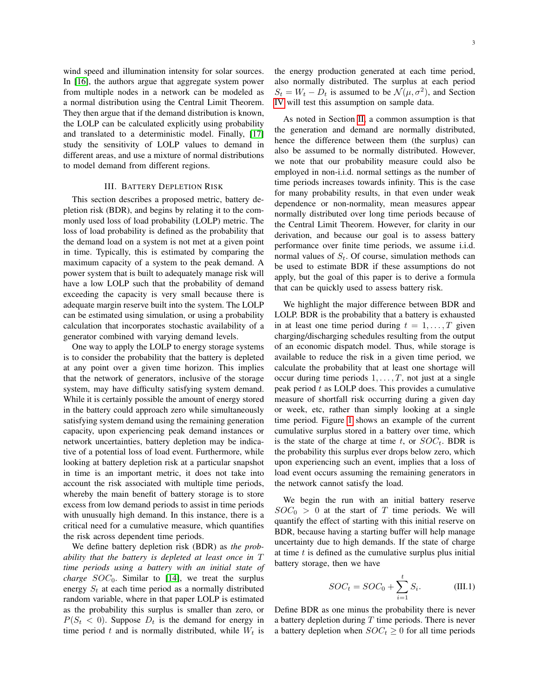wind speed and illumination intensity for solar sources. In [\[16\]](#page-7-15), the authors argue that aggregate system power from multiple nodes in a network can be modeled as a normal distribution using the Central Limit Theorem. They then argue that if the demand distribution is known, the LOLP can be calculated explicitly using probability and translated to a deterministic model. Finally, [\[17\]](#page-7-16) study the sensitivity of LOLP values to demand in different areas, and use a mixture of normal distributions to model demand from different regions.

#### III. BATTERY DEPLETION RISK

<span id="page-2-0"></span>This section describes a proposed metric, battery depletion risk (BDR), and begins by relating it to the commonly used loss of load probability (LOLP) metric. The loss of load probability is defined as the probability that the demand load on a system is not met at a given point in time. Typically, this is estimated by comparing the maximum capacity of a system to the peak demand. A power system that is built to adequately manage risk will have a low LOLP such that the probability of demand exceeding the capacity is very small because there is adequate margin reserve built into the system. The LOLP can be estimated using simulation, or using a probability calculation that incorporates stochastic availability of a generator combined with varying demand levels.

One way to apply the LOLP to energy storage systems is to consider the probability that the battery is depleted at any point over a given time horizon. This implies that the network of generators, inclusive of the storage system, may have difficulty satisfying system demand. While it is certainly possible the amount of energy stored in the battery could approach zero while simultaneously satisfying system demand using the remaining generation capacity, upon experiencing peak demand instances or network uncertainties, battery depletion may be indicative of a potential loss of load event. Furthermore, while looking at battery depletion risk at a particular snapshot in time is an important metric, it does not take into account the risk associated with multiple time periods, whereby the main benefit of battery storage is to store excess from low demand periods to assist in time periods with unusually high demand. In this instance, there is a critical need for a cumulative measure, which quantifies the risk across dependent time periods.

We define battery depletion risk (BDR) as *the probability that the battery is depleted at least once in* T *time periods using a battery with an initial state of charge*  $SOC_0$ . Similar to [\[14\]](#page-7-13), we treat the surplus energy  $S_t$  at each time period as a normally distributed random variable, where in that paper LOLP is estimated as the probability this surplus is smaller than zero, or  $P(S_t < 0)$ . Suppose  $D_t$  is the demand for energy in time period t and is normally distributed, while  $W_t$  is the energy production generated at each time period, also normally distributed. The surplus at each period  $S_t = W_t - D_t$  is assumed to be  $\mathcal{N}(\mu, \sigma^2)$ , and Section [IV](#page-3-0) will test this assumption on sample data.

As noted in Section [II,](#page-1-0) a common assumption is that the generation and demand are normally distributed, hence the difference between them (the surplus) can also be assumed to be normally distributed. However, we note that our probability measure could also be employed in non-i.i.d. normal settings as the number of time periods increases towards infinity. This is the case for many probability results, in that even under weak dependence or non-normality, mean measures appear normally distributed over long time periods because of the Central Limit Theorem. However, for clarity in our derivation, and because our goal is to assess battery performance over finite time periods, we assume i.i.d. normal values of  $S_t$ . Of course, simulation methods can be used to estimate BDR if these assumptions do not apply, but the goal of this paper is to derive a formula that can be quickly used to assess battery risk.

We highlight the major difference between BDR and LOLP. BDR is the probability that a battery is exhausted in at least one time period during  $t = 1, \ldots, T$  given charging/discharging schedules resulting from the output of an economic dispatch model. Thus, while storage is available to reduce the risk in a given time period, we calculate the probability that at least one shortage will occur during time periods  $1, \ldots, T$ , not just at a single peak period  $t$  as LOLP does. This provides a cumulative measure of shortfall risk occurring during a given day or week, etc, rather than simply looking at a single time period. Figure [1](#page-3-1) shows an example of the current cumulative surplus stored in a battery over time, which is the state of the charge at time t, or  $SOC_t$ . BDR is the probability this surplus ever drops below zero, which upon experiencing such an event, implies that a loss of load event occurs assuming the remaining generators in the network cannot satisfy the load.

We begin the run with an initial battery reserve  $SOC_0 > 0$  at the start of T time periods. We will quantify the effect of starting with this initial reserve on BDR, because having a starting buffer will help manage uncertainty due to high demands. If the state of charge at time  $t$  is defined as the cumulative surplus plus initial battery storage, then we have

<span id="page-2-1"></span>
$$
SOC_t = SOC_0 + \sum_{i=1}^{t} S_i.
$$
 (III.1)

Define BDR as one minus the probability there is never a battery depletion during  $T$  time periods. There is never a battery depletion when  $SOC_t \geq 0$  for all time periods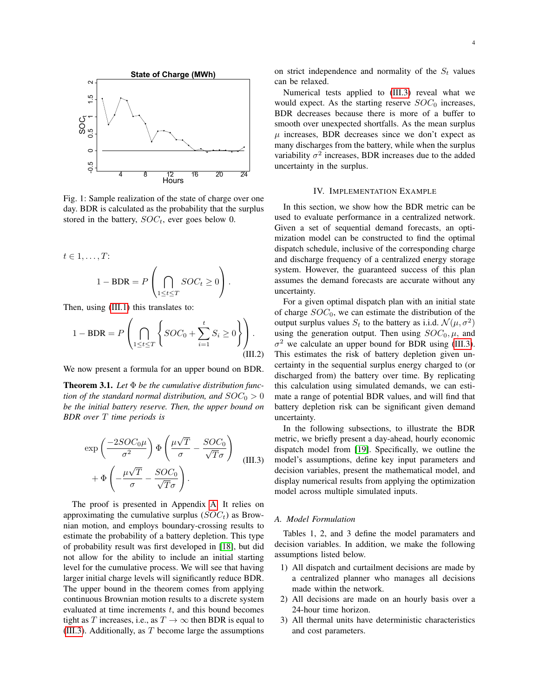<span id="page-3-1"></span>

Fig. 1: Sample realization of the state of charge over one day. BDR is calculated as the probability that the surplus stored in the battery,  $SOC_t$ , ever goes below 0.

$$
t \in 1, ..., T:
$$
  

$$
1 - BDR = P\left(\bigcap_{1 \le t \le T} SOC_t \ge 0\right).
$$

Then, using [\(III.1\)](#page-2-1) this translates to:

$$
1 - BDR = P\left(\bigcap_{1 \le t \le T} \left\{ SOC_0 + \sum_{i=1}^t S_i \ge 0 \right\} \right). \tag{III.2}
$$

We now present a formula for an upper bound on BDR.

<span id="page-3-2"></span>Theorem 3.1. *Let* Φ *be the cumulative distribution function of the standard normal distribution, and*  $SOC_0 > 0$ *be the initial battery reserve. Then, the upper bound on BDR over* T *time periods is*

$$
\exp\left(\frac{-2SOC_0\mu}{\sigma^2}\right)\Phi\left(\frac{\mu\sqrt{T}}{\sigma} - \frac{SOC_0}{\sqrt{T}\sigma}\right) + \Phi\left(-\frac{\mu\sqrt{T}}{\sigma} - \frac{SOC_0}{\sqrt{T}\sigma}\right).
$$
 (III.3)

The proof is presented in Appendix [A.](#page-8-0) It relies on approximating the cumulative surplus  $(SOC_t)$  as Brownian motion, and employs boundary-crossing results to estimate the probability of a battery depletion. This type of probability result was first developed in [\[18\]](#page-7-17), but did not allow for the ability to include an initial starting level for the cumulative process. We will see that having larger initial charge levels will significantly reduce BDR. The upper bound in the theorem comes from applying continuous Brownian motion results to a discrete system evaluated at time increments  $t$ , and this bound becomes tight as T increases, i.e., as  $T \to \infty$  then BDR is equal to [\(III.3\)](#page-3-2). Additionally, as  $T$  become large the assumptions

on strict independence and normality of the  $S_t$  values can be relaxed.

Numerical tests applied to [\(III.3\)](#page-3-2) reveal what we would expect. As the starting reserve  $SOC<sub>0</sub>$  increases, BDR decreases because there is more of a buffer to smooth over unexpected shortfalls. As the mean surplus  $\mu$  increases, BDR decreases since we don't expect as many discharges from the battery, while when the surplus variability  $\sigma^2$  increases, BDR increases due to the added uncertainty in the surplus.

### IV. IMPLEMENTATION EXAMPLE

<span id="page-3-0"></span>In this section, we show how the BDR metric can be used to evaluate performance in a centralized network. Given a set of sequential demand forecasts, an optimization model can be constructed to find the optimal dispatch schedule, inclusive of the corresponding charge and discharge frequency of a centralized energy storage system. However, the guaranteed success of this plan assumes the demand forecasts are accurate without any uncertainty.

<span id="page-3-3"></span>For a given optimal dispatch plan with an initial state of charge  $SOC_0$ , we can estimate the distribution of the output surplus values  $S_t$  to the battery as i.i.d.  $\mathcal{N}(\mu, \sigma^2)$ using the generation output. Then using  $SOC_0$ ,  $\mu$ , and  $\sigma^2$  we calculate an upper bound for BDR using [\(III.3\)](#page-3-2). This estimates the risk of battery depletion given uncertainty in the sequential surplus energy charged to (or discharged from) the battery over time. By replicating this calculation using simulated demands, we can estimate a range of potential BDR values, and will find that battery depletion risk can be significant given demand uncertainty.

In the following subsections, to illustrate the BDR metric, we briefly present a day-ahead, hourly economic dispatch model from [\[19\]](#page-7-18). Specifically, we outline the model's assumptions, define key input parameters and decision variables, present the mathematical model, and display numerical results from applying the optimization model across multiple simulated inputs.

#### *A. Model Formulation*

Tables 1, 2, and 3 define the model paramaters and decision variables. In addition, we make the following assumptions listed below.

- 1) All dispatch and curtailment decisions are made by a centralized planner who manages all decisions made within the network.
- 2) All decisions are made on an hourly basis over a 24-hour time horizon.
- 3) All thermal units have deterministic characteristics and cost parameters.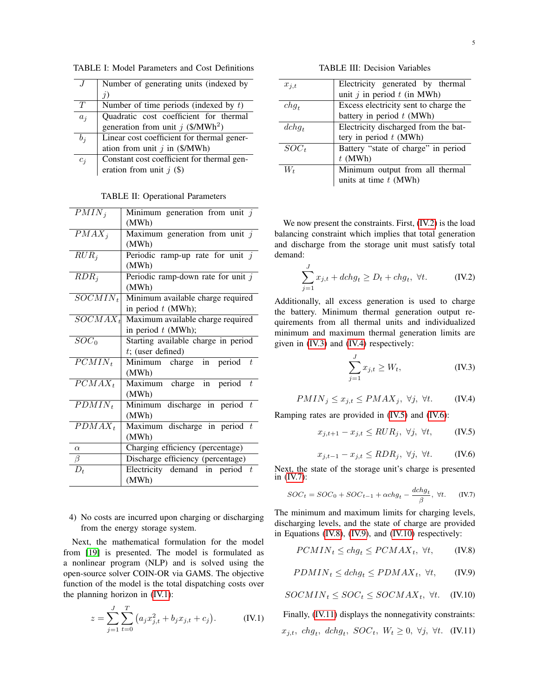TABLE I: Model Parameters and Cost Definitions

|       | Number of generating units (indexed by          |
|-------|-------------------------------------------------|
|       | $\eta$                                          |
| T     | Number of time periods (indexed by $t$ )        |
| $a_i$ | Quadratic cost coefficient for thermal          |
|       | generation from unit $j$ (\$/MWh <sup>2</sup> ) |
| $b_i$ | Linear cost coefficient for thermal gener-      |
|       | ation from unit $j$ in (\$/MWh)                 |
| $c_i$ | Constant cost coefficient for thermal gen-      |
|       | eration from unit $j$ (\$)                      |

TABLE II: Operational Parameters

| $PMIN_i$           | Minimum generation from unit $j$     |
|--------------------|--------------------------------------|
|                    | (MWh)                                |
| $PMAX_i$           | Maximum generation from unit $j$     |
|                    | (MWh)                                |
| $RUR_i$            | Periodic ramp-up rate for unit $j$   |
|                    | (MWh)                                |
| $RDR_i$            | Periodic ramp-down rate for unit $j$ |
|                    | (MWh)                                |
| $SOCMIN_t$         | Minimum available charge required    |
|                    | in period $t$ (MWh);                 |
| $SOCMAX_t$         | Maximum available charge required    |
|                    | in period $t$ (MWh);                 |
| $\overline{SOC}_0$ | Starting available charge in period  |
|                    | $t$ ; (user defined)                 |
| $PCMIN_t$          | Minimum charge in period $t$         |
|                    | (MWh)                                |
| $PCMAX_t$          | Maximum charge in period $t$         |
|                    | (MWh)                                |
| $PDMIN_t$          | Minimum discharge in period $t$      |
|                    | (MWh)                                |
| $PDMAX_t$          | Maximum discharge in period $t$      |
|                    | (MWh)                                |
| $\alpha$           | Charging efficiency (percentage)     |
| $\beta$            | Discharge efficiency (percentage)    |
| $D_t$              | Electricity demand in period $t$     |
|                    | (MWh)                                |

4) No costs are incurred upon charging or discharging from the energy storage system.

Next, the mathematical formulation for the model from [\[19\]](#page-7-18) is presented. The model is formulated as a nonlinear program (NLP) and is solved using the open-source solver COIN-OR via GAMS. The objective function of the model is the total dispatching costs over the planning horizon in [\(IV.1\)](#page-4-0):

$$
z = \sum_{j=1}^{J} \sum_{t=0}^{T} (a_j x_{j,t}^2 + b_j x_{j,t} + c_j).
$$
 (IV.1)

TABLE III: Decision Variables

| $x_{i,t}$ | Electricity generated by thermal      |  |
|-----------|---------------------------------------|--|
|           | unit $j$ in period $t$ (in MWh)       |  |
| $chg_t$   | Excess electricity sent to charge the |  |
|           | battery in period $t$ (MWh)           |  |
| $dchq_t$  | Electricity discharged from the bat-  |  |
|           | tery in period $t$ (MWh)              |  |
|           |                                       |  |
| $SOC_t$   | Battery "state of charge" in period   |  |
|           | $t$ (MWh)                             |  |
| $W_t$     | Minimum output from all thermal       |  |
|           | units at time $t$ (MWh)               |  |

We now present the constraints. First, [\(IV.2\)](#page-4-1) is the load balancing constraint which implies that total generation and discharge from the storage unit must satisfy total demand:

$$
\sum_{j=1}^{J} x_{j,t} + dchg_t \ge D_t + chg_t, \ \forall t. \tag{IV.2}
$$

Additionally, all excess generation is used to charge the battery. Minimum thermal generation output requirements from all thermal units and individualized minimum and maximum thermal generation limits are given in [\(IV.3\)](#page-4-2) and [\(IV.4\)](#page-4-3) respectively:

<span id="page-4-4"></span><span id="page-4-3"></span><span id="page-4-2"></span><span id="page-4-1"></span>
$$
\sum_{j=1}^{J} x_{j,t} \ge W_t,
$$
 (IV.3)

$$
PMIN_j \le x_{j,t} \le PMAX_j, \ \forall j, \ \forall t. \tag{IV.4}
$$

Ramping rates are provided in [\(IV.5\)](#page-4-4) and [\(IV.6\)](#page-4-5):

$$
x_{j,t+1} - x_{j,t} \leq RUR_j, \ \forall j, \ \forall t, \tag{IV.5}
$$

<span id="page-4-6"></span><span id="page-4-5"></span>
$$
x_{j,t-1} - x_{j,t} \le RDR_j, \ \forall j, \ \forall t. \tag{IV.6}
$$

Next, the state of the storage unit's charge is presented in  $(IV.7)$ :

$$
SOC_t = SOC_0 + SOC_{t-1} + \alpha chg_t - \frac{dchg_t}{\beta}, \ \forall t. \tag{IV.7}
$$

The minimum and maximum limits for charging levels, discharging levels, and the state of charge are provided in Equations [\(IV.8\)](#page-4-7), [\(IV.9\)](#page-4-8), and [\(IV.10\)](#page-4-9) respectively:

<span id="page-4-7"></span>
$$
PCMIN_t \le chg_t \le PCMAX_t, \ \forall t,
$$
 (IV.8)

<span id="page-4-10"></span><span id="page-4-9"></span><span id="page-4-8"></span>
$$
PDMIN_t \le dchg_t \le PDMAX_t, \ \forall t,
$$
 (IV.9)

 $SOCMIN_t \leq SOC_t \leq SOCMAX_t, \ \forall t. \quad (IV.10)$ 

<span id="page-4-0"></span>Finally, [\(IV.11\)](#page-4-10) displays the nonnegativity constraints:  $x_{j,t}$ , chg<sub>t</sub>, dchg<sub>t</sub>,  $SOC_t$ ,  $W_t \geq 0$ ,  $\forall j$ ,  $\forall t$ . (IV.11)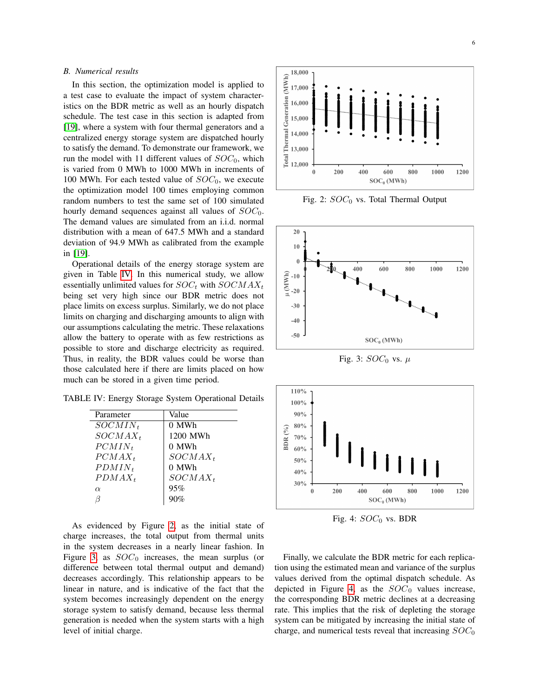## *B. Numerical results*

In this section, the optimization model is applied to a test case to evaluate the impact of system characteristics on the BDR metric as well as an hourly dispatch schedule. The test case in this section is adapted from [\[19\]](#page-7-18), where a system with four thermal generators and a centralized energy storage system are dispatched hourly to satisfy the demand. To demonstrate our framework, we run the model with 11 different values of  $SOC_0$ , which is varied from 0 MWh to 1000 MWh in increments of 100 MWh. For each tested value of  $SOC<sub>0</sub>$ , we execute the optimization model 100 times employing common random numbers to test the same set of 100 simulated hourly demand sequences against all values of  $SOC<sub>0</sub>$ . The demand values are simulated from an i.i.d. normal distribution with a mean of 647.5 MWh and a standard deviation of 94.9 MWh as calibrated from the example in [\[19\]](#page-7-18).

Operational details of the energy storage system are given in Table [IV.](#page-5-0) In this numerical study, we allow essentially unlimited values for  $SOC_t$  with  $SOCMAX_t$ being set very high since our BDR metric does not place limits on excess surplus. Similarly, we do not place limits on charging and discharging amounts to align with our assumptions calculating the metric. These relaxations allow the battery to operate with as few restrictions as possible to store and discharge electricity as required. Thus, in reality, the BDR values could be worse than those calculated here if there are limits placed on how much can be stored in a given time period.

<span id="page-5-0"></span>TABLE IV: Energy Storage System Operational Details

| Parameter  | Value      |
|------------|------------|
| $SOCMIN_t$ | $0$ MWh    |
| $SOCMAX_t$ | 1200 MWh   |
| $PCMIN_t$  | 0 MWh      |
| $PCMAX_t$  | $SOCMAX_t$ |
| $PDMIN_t$  | 0 MWh      |
| $PDMAX_t$  | $SOCMAX_t$ |
| $\alpha$   | 95%        |
|            | 90%        |
|            |            |

As evidenced by Figure [2,](#page-5-1) as the initial state of charge increases, the total output from thermal units in the system decreases in a nearly linear fashion. In Figure [3,](#page-5-2) as  $SOC<sub>0</sub>$  increases, the mean surplus (or difference between total thermal output and demand) decreases accordingly. This relationship appears to be linear in nature, and is indicative of the fact that the system becomes increasingly dependent on the energy storage system to satisfy demand, because less thermal generation is needed when the system starts with a high level of initial charge.

<span id="page-5-1"></span>

Fig. 2:  $SOC<sub>0</sub>$  vs. Total Thermal Output

<span id="page-5-2"></span>

Fig. 3:  $SOC<sub>0</sub>$  vs.  $\mu$ 

<span id="page-5-3"></span>

Fig. 4:  $SOC<sub>0</sub>$  vs. BDR

Finally, we calculate the BDR metric for each replication using the estimated mean and variance of the surplus values derived from the optimal dispatch schedule. As depicted in Figure [4,](#page-5-3) as the  $SOC<sub>0</sub>$  values increase, the corresponding BDR metric declines at a decreasing rate. This implies that the risk of depleting the storage system can be mitigated by increasing the initial state of charge, and numerical tests reveal that increasing  $SOC_0$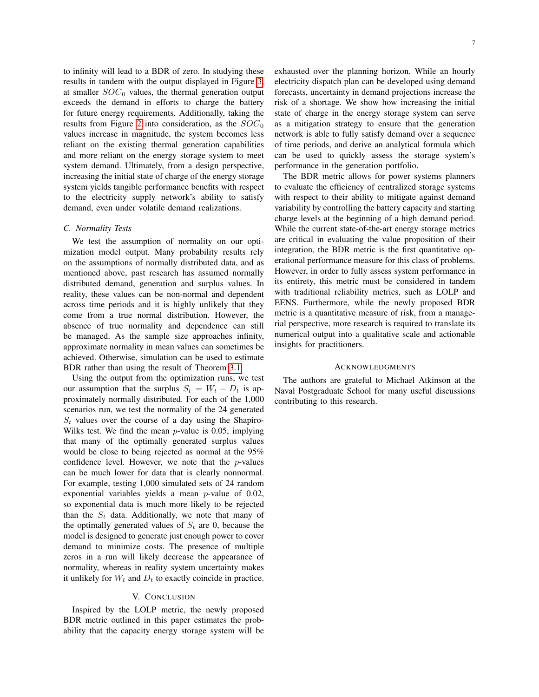to infinity will lead to a BDR of zero. In studying these results in tandem with the output displayed in Figure [3,](#page-5-2) at smaller  $SOC_0$  values, the thermal generation output exceeds the demand in efforts to charge the battery for future energy requirements. Additionally, taking the results from Figure [2](#page-5-1) into consideration, as the  $SOC_0$ values increase in magnitude, the system becomes less reliant on the existing thermal generation capabilities and more reliant on the energy storage system to meet system demand. Ultimately, from a design perspective, increasing the initial state of charge of the energy storage system yields tangible performance benefits with respect to the electricity supply network's ability to satisfy demand, even under volatile demand realizations.

## *C. Normality Tests*

We test the assumption of normality on our optimization model output. Many probability results rely on the assumptions of normally distributed data, and as mentioned above, past research has assumed normally distributed demand, generation and surplus values. In reality, these values can be non-normal and dependent across time periods and it is highly unlikely that they come from a true normal distribution. However, the absence of true normality and dependence can still be managed. As the sample size approaches infinity, approximate normality in mean values can sometimes be achieved. Otherwise, simulation can be used to estimate BDR rather than using the result of Theorem [3.1.](#page-3-2)

Using the output from the optimization runs, we test our assumption that the surplus  $S_t = W_t - D_t$  is approximately normally distributed. For each of the 1,000 scenarios run, we test the normality of the 24 generated  $S_t$  values over the course of a day using the Shapiro-Wilks test. We find the mean  $p$ -value is 0.05, implying that many of the optimally generated surplus values would be close to being rejected as normal at the 95% confidence level. However, we note that the  $p$ -values can be much lower for data that is clearly nonnormal. For example, testing 1,000 simulated sets of 24 random exponential variables yields a mean p-value of 0.02, so exponential data is much more likely to be rejected than the  $S_t$  data. Additionally, we note that many of the optimally generated values of  $S_t$  are 0, because the model is designed to generate just enough power to cover demand to minimize costs. The presence of multiple zeros in a run will likely decrease the appearance of normality, whereas in reality system uncertainty makes it unlikely for  $W_t$  and  $D_t$  to exactly coincide in practice.

#### V. CONCLUSION

<span id="page-6-0"></span>Inspired by the LOLP metric, the newly proposed BDR metric outlined in this paper estimates the probability that the capacity energy storage system will be electricity dispatch plan can be developed using demand forecasts, uncertainty in demand projections increase the risk of a shortage. We show how increasing the initial state of charge in the energy storage system can serve as a mitigation strategy to ensure that the generation network is able to fully satisfy demand over a sequence of time periods, and derive an analytical formula which can be used to quickly assess the storage system's performance in the generation portfolio.

The BDR metric allows for power systems planners to evaluate the efficiency of centralized storage systems with respect to their ability to mitigate against demand variability by controlling the battery capacity and starting charge levels at the beginning of a high demand period. While the current state-of-the-art energy storage metrics are critical in evaluating the value proposition of their integration, the BDR metric is the first quantitative operational performance measure for this class of problems. However, in order to fully assess system performance in its entirety, this metric must be considered in tandem with traditional reliability metrics, such as LOLP and EENS. Furthermore, while the newly proposed BDR metric is a quantitative measure of risk, from a managerial perspective, more research is required to translate its numerical output into a qualitative scale and actionable insights for practitioners.

#### ACKNOWLEDGMENTS

The authors are grateful to Michael Atkinson at the Naval Postgraduate School for many useful discussions contributing to this research.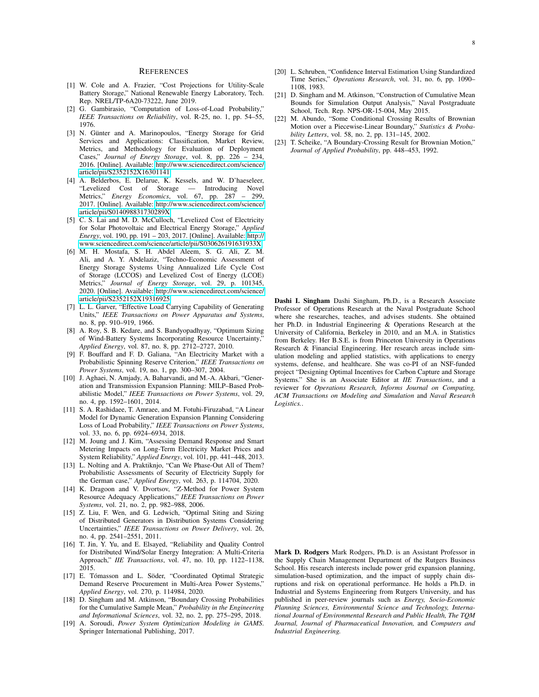#### **REFERENCES**

- <span id="page-7-0"></span>[1] W. Cole and A. Frazier, "Cost Projections for Utility-Scale Battery Storage," National Renewable Energy Laboratory, Tech. Rep. NREL/TP-6A20-73222, June 2019.
- <span id="page-7-1"></span>[2] G. Gambirasio, "Computation of Loss-of-Load Probability," *IEEE Transactions on Reliability*, vol. R-25, no. 1, pp. 54–55, 1976.
- <span id="page-7-2"></span>[3] N. Günter and A. Marinopoulos, "Energy Storage for Grid Services and Applications: Classification, Market Review, Metrics, and Methodology for Evaluation of Deployment Cases," *Journal of Energy Storage*, vol. 8, pp. 226 – 234, 2016. [Online]. Available: [http://www.sciencedirect.com/science/](http://www.sciencedirect.com/science/article/pii/S2352152X16301141) [article/pii/S2352152X16301141](http://www.sciencedirect.com/science/article/pii/S2352152X16301141)
- <span id="page-7-3"></span>[4] A. Belderbos, E. Delarue, K. Kessels, and W. D'haeseleer, "Levelized Cost of Storage — Introducing Novel Metrics," *Energy Economics*, vol. 67, pp. 287 – 299, 2017. [Online]. Available: [http://www.sciencedirect.com/science/](http://www.sciencedirect.com/science/article/pii/S014098831730289X) [article/pii/S014098831730289X](http://www.sciencedirect.com/science/article/pii/S014098831730289X)
- <span id="page-7-4"></span>[5] C. S. Lai and M. D. McCulloch, "Levelized Cost of Electricity for Solar Photovoltaic and Electrical Energy Storage," *Applied Energy*, vol. 190, pp. 191 – 203, 2017. [Online]. Available: [http://](http://www.sciencedirect.com/science/article/pii/S030626191631933X) [www.sciencedirect.com/science/article/pii/S030626191631933X](http://www.sciencedirect.com/science/article/pii/S030626191631933X)
- <span id="page-7-5"></span>[6] M. H. Mostafa, S. H. Abdel Aleem, S. G. Ali, Z. M. Ali, and A. Y. Abdelaziz, "Techno-Economic Assessment of Energy Storage Systems Using Annualized Life Cycle Cost of Storage (LCCOS) and Levelized Cost of Energy (LCOE) Metrics," *Journal of Energy Storage*, vol. 29, p. 101345, 2020. [Online]. Available: [http://www.sciencedirect.com/science/](http://www.sciencedirect.com/science/article/pii/S2352152X19316925) [article/pii/S2352152X19316925](http://www.sciencedirect.com/science/article/pii/S2352152X19316925)
- <span id="page-7-6"></span>[7] L. L. Garver, "Effective Load Carrying Capability of Generating Units," *IEEE Transactions on Power Apparatus and Systems*, no. 8, pp. 910–919, 1966.
- <span id="page-7-7"></span>[8] A. Roy, S. B. Kedare, and S. Bandyopadhyay, "Optimum Sizing of Wind-Battery Systems Incorporating Resource Uncertainty, *Applied Energy*, vol. 87, no. 8, pp. 2712–2727, 2010.
- <span id="page-7-8"></span>[9] F. Bouffard and F. D. Galiana, "An Electricity Market with a Probabilistic Spinning Reserve Criterion," *IEEE Transactions on Power Systems*, vol. 19, no. 1, pp. 300–307, 2004.
- <span id="page-7-9"></span>[10] J. Aghaei, N. Amjady, A. Baharvandi, and M.-A. Akbari, "Generation and Transmission Expansion Planning: MILP–Based Probabilistic Model," *IEEE Transactions on Power Systems*, vol. 29, no. 4, pp. 1592–1601, 2014.
- <span id="page-7-10"></span>[11] S. A. Rashidaee, T. Amraee, and M. Fotuhi-Firuzabad, "A Linear Model for Dynamic Generation Expansion Planning Considering Loss of Load Probability," *IEEE Transactions on Power Systems*, vol. 33, no. 6, pp. 6924–6934, 2018.
- <span id="page-7-11"></span>[12] M. Joung and J. Kim, "Assessing Demand Response and Smart Metering Impacts on Long-Term Electricity Market Prices and System Reliability," *Applied Energy*, vol. 101, pp. 441–448, 2013.
- <span id="page-7-12"></span>[13] L. Nolting and A. Praktiknjo, "Can We Phase-Out All of Them? Probabilistic Assessments of Security of Electricity Supply for the German case," *Applied Energy*, vol. 263, p. 114704, 2020.
- <span id="page-7-13"></span>[14] K. Dragoon and V. Dvortsov, "Z-Method for Power System Resource Adequacy Applications," *IEEE Transactions on Power Systems*, vol. 21, no. 2, pp. 982–988, 2006.
- <span id="page-7-14"></span>[15] Z. Liu, F. Wen, and G. Ledwich, "Optimal Siting and Sizing of Distributed Generators in Distribution Systems Considering Uncertainties," *IEEE Transactions on Power Delivery*, vol. 26, no. 4, pp. 2541–2551, 2011.
- <span id="page-7-15"></span>[16] T. Jin, Y. Yu, and E. Elsayed, "Reliability and Quality Control for Distributed Wind/Solar Energy Integration: A Multi-Criteria Approach," *IIE Transactions*, vol. 47, no. 10, pp. 1122–1138, 2015.
- <span id="page-7-16"></span>[17] E. Tómasson and L. Söder, "Coordinated Optimal Strategic Demand Reserve Procurement in Multi-Area Power Systems," *Applied Energy*, vol. 270, p. 114984, 2020.
- <span id="page-7-17"></span>[18] D. Singham and M. Atkinson, "Boundary Crossing Probabilities for the Cumulative Sample Mean," *Probability in the Engineering and Informational Sciences*, vol. 32, no. 2, pp. 275–295, 2018.
- <span id="page-7-18"></span>[19] A. Soroudi, *Power System Optimization Modeling in GAMS*. Springer International Publishing, 2017.
- <span id="page-7-19"></span>[20] L. Schruben, "Confidence Interval Estimation Using Standardized Time Series," *Operations Research*, vol. 31, no. 6, pp. 1090– 1108, 1983.
- <span id="page-7-20"></span>[21] D. Singham and M. Atkinson, "Construction of Cumulative Mean Bounds for Simulation Output Analysis," Naval Postgraduate School, Tech. Rep. NPS-OR-15-004, May 2015.
- <span id="page-7-21"></span>[22] M. Abundo, "Some Conditional Crossing Results of Brownian Motion over a Piecewise-Linear Boundary," *Statistics & Probability Letters*, vol. 58, no. 2, pp. 131–145, 2002.
- <span id="page-7-22"></span>[23] T. Scheike, "A Boundary-Crossing Result for Brownian Motion," *Journal of Applied Probability*, pp. 448–453, 1992.

Dashi I. Singham Dashi Singham, Ph.D., is a Research Associate Professor of Operations Research at the Naval Postgraduate School where she researches, teaches, and advises students. She obtained her Ph.D. in Industrial Engineering & Operations Research at the University of California, Berkeley in 2010, and an M.A. in Statistics from Berkeley. Her B.S.E. is from Princeton University in Operations Research & Financial Engineering. Her research areas include simulation modeling and applied statistics, with applications to energy systems, defense, and healthcare. She was co-PI of an NSF-funded project "Designing Optimal Incentives for Carbon Capture and Storage Systems." She is an Associate Editor at *IIE Transactions*, and a reviewer for *Operations Research, Informs Journal on Computing, ACM Transactions on Modeling and Simulation* and *Naval Research Logistics.*.

Mark D. Rodgers Mark Rodgers, Ph.D. is an Assistant Professor in the Supply Chain Management Department of the Rutgers Business School. His research interests include power grid expansion planning, simulation-based optimization, and the impact of supply chain disruptions and risk on operational performance. He holds a Ph.D. in Industrial and Systems Engineering from Rutgers University, and has published in peer-review journals such as *Energy, Socio-Economic Planning Sciences, Environmental Science and Technology, International Journal of Environmental Research and Public Health, The TQM Journal, Journal of Pharmaceutical Innovation,* and *Computers and Industrial Engineering.*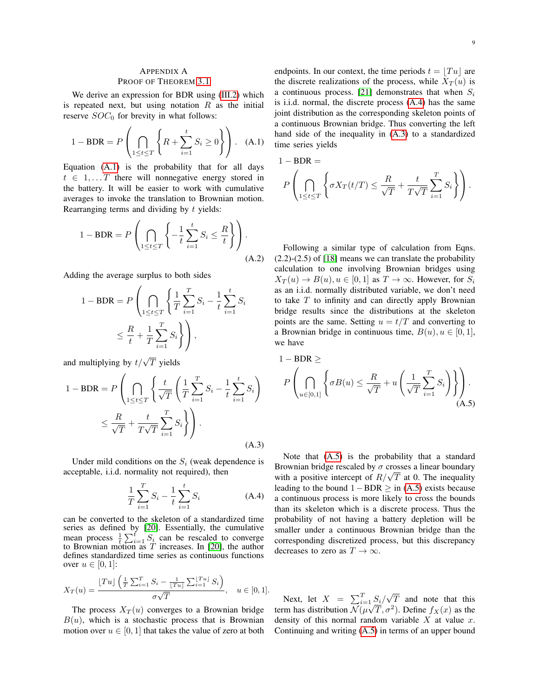# <span id="page-8-0"></span>APPENDIX A PROOF OF THEOREM [3.1](#page-3-2)

We derive an expression for BDR using [\(III.2\)](#page-3-3) which is repeated next, but using notation  $R$  as the initial reserve  $SOC<sub>0</sub>$  for brevity in what follows:

$$
1 - BDR = P\left(\bigcap_{1 \le t \le T} \left\{ R + \sum_{i=1}^{t} S_i \ge 0 \right\} \right). \quad (A.1)
$$

Equation [\(A.1\)](#page-8-1) is the probability that for all days  $t \in 1, \ldots T$  there will nonnegative energy stored in the battery. It will be easier to work with cumulative averages to invoke the translation to Brownian motion. Rearranging terms and dividing by  $t$  yields:

$$
1 - BDR = P\left(\bigcap_{1 \le t \le T} \left\{-\frac{1}{t} \sum_{i=1}^{t} S_i \le \frac{R}{t}\right\}\right).
$$
\n(A.2)

Adding the average surplus to both sides

$$
1 - BDR = P\left(\bigcap_{1 \le t \le T} \left\{\frac{1}{T} \sum_{i=1}^{T} S_i - \frac{1}{t} \sum_{i=1}^{t} S_i\right\}\right) = \frac{R}{t} + \frac{1}{T} \sum_{i=1}^{T} S_i \right),
$$

and multiplying by  $t/\sqrt{T}$  yields

$$
1 - BDR = P\left(\bigcap_{1 \le t \le T} \left\{\frac{t}{\sqrt{T}} \left(\frac{1}{T} \sum_{i=1}^{T} S_i - \frac{1}{t} \sum_{i=1}^{t} S_i\right)\right\}\right)
$$

$$
\le \frac{R}{\sqrt{T}} + \frac{t}{T\sqrt{T}} \sum_{i=1}^{T} S_i\right).
$$
(A.3)

Under mild conditions on the  $S_i$  (weak dependence is acceptable, i.i.d. normality not required), then

$$
\frac{1}{T} \sum_{i=1}^{T} S_i - \frac{1}{t} \sum_{i=1}^{t} S_i
$$
 (A.4)

can be converted to the skeleton of a standardized time series as defined by [\[20\]](#page-7-19). Essentially, the cumulative mean process  $\frac{1}{t} \sum_{i=1}^{t} S_i$  can be rescaled to converge to Brownian motion as  $T$  increases. In [\[20\]](#page-7-19), the author defines standardized time series as continuous functions over  $u \in [0,1]$ :

<span id="page-8-4"></span>
$$
X_T(u) = \frac{\lfloor Tu \rfloor \left( \frac{1}{T} \sum_{i=1}^T S_i - \frac{1}{\lfloor Tu \rfloor} \sum_{i=1}^{\lfloor Tu \rfloor} S_i \right)}{\sigma \sqrt{T}}, \quad u \in [0, 1].
$$

The process  $X_T(u)$  converges to a Brownian bridge  $B(u)$ , which is a stochastic process that is Brownian motion over  $u \in [0, 1]$  that takes the value of zero at both

endpoints. In our context, the time periods  $t = |Tu|$  are the discrete realizations of the process, while  $X_T(u)$  is a continuous process. [\[21\]](#page-7-20) demonstrates that when  $S_i$ is i.i.d. normal, the discrete process [\(A.4\)](#page-8-2) has the same joint distribution as the corresponding skeleton points of a continuous Brownian bridge. Thus converting the left hand side of the inequality in [\(A.3\)](#page-8-3) to a standardized time series yields

<span id="page-8-1"></span>
$$
1 - BDR =
$$
  

$$
P\left(\bigcap_{1 \le t \le T} \left\{\sigma X_T(t/T) \le \frac{R}{\sqrt{T}} + \frac{t}{T\sqrt{T}} \sum_{i=1}^T S_i\right\}\right).
$$

<span id="page-8-3"></span>Following a similar type of calculation from Eqns. (2.2)-(2.5) of [\[18\]](#page-7-17) means we can translate the probability calculation to one involving Brownian bridges using  $X_T(u) \to B(u), u \in [0,1]$  as  $T \to \infty$ . However, for  $S_i$ as an i.i.d. normally distributed variable, we don't need to take  $T$  to infinity and can directly apply Brownian bridge results since the distributions at the skeleton points are the same. Setting  $u = t/T$  and converting to a Brownian bridge in continuous time,  $B(u)$ ,  $u \in [0, 1]$ , we have

$$
1 - BDR \ge
$$
  
\n
$$
P\left(\bigcap_{u \in [0,1]} \left\{\sigma B(u) \le \frac{R}{\sqrt{T}} + u\left(\frac{1}{\sqrt{T}} \sum_{i=1}^{T} S_i\right)\right\}\right).
$$
\n(A.5)

<span id="page-8-2"></span>Note that [\(A.5\)](#page-8-4) is the probability that a standard Brownian bridge rescaled by  $\sigma$  crosses a linear boundary Brownian bridge rescaled by  $\sigma$  crosses a linear boundary<br>with a positive intercept of  $R/\sqrt{T}$  at 0. The inequality leading to the bound  $1 - BDR \geq$  in [\(A.5\)](#page-8-4) exists because a continuous process is more likely to cross the bounds than its skeleton which is a discrete process. Thus the probability of not having a battery depletion will be smaller under a continuous Brownian bridge than the corresponding discretized process, but this discrepancy decreases to zero as  $T \to \infty$ .

Next, let  $X = \sum_{i=1}^{T} \frac{S_i}{s}$ √  $T$  and note that this term has distribution  $\mathcal{N}(\mu)$  $\sqrt{\frac{S_i}{V}}$ ,  $\sigma^2$ ). Define  $f_X(x)$  as the density of this normal random variable  $X$  at value  $x$ . Continuing and writing [\(A.5\)](#page-8-4) in terms of an upper bound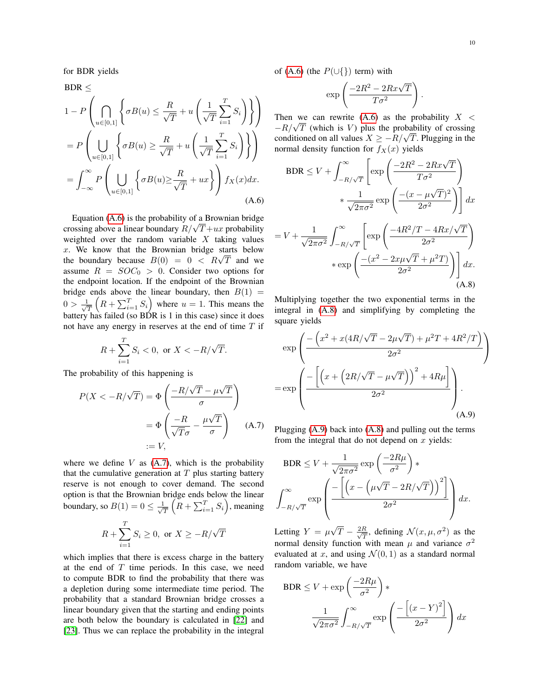for BDR yields

$$
BDR \le
$$
  
\n
$$
1 - P \left( \bigcap_{u \in [0,1]} \left\{ \sigma B(u) \le \frac{R}{\sqrt{T}} + u \left( \frac{1}{\sqrt{T}} \sum_{i=1}^{T} S_i \right) \right\} \right)
$$
  
\n
$$
= P \left( \bigcup_{u \in [0,1]} \left\{ \sigma B(u) \ge \frac{R}{\sqrt{T}} + u \left( \frac{1}{\sqrt{T}} \sum_{i=1}^{T} S_i \right) \right\} \right)
$$
  
\n
$$
= \int_{-\infty}^{\infty} P \left( \bigcup_{u \in [0,1]} \left\{ \sigma B(u) \ge \frac{R}{\sqrt{T}} + ux \right\} \right) f_X(x) dx.
$$
  
\n(A.6)

Equation [\(A.6\)](#page-9-0) is the probability of a Brownian bridge Equation (A.b) is the probability or a Brownian bridge<br>crossing above a linear boundary  $R/\sqrt{T}+ux$  probability weighted over the random variable  $X$  taking values  $x$ . We know that the Brownian bridge starts below x. We know that the Brownian bridge starts below<br>the boundary because  $B(0) = 0 < R\sqrt{T}$  and we assume  $R = SOC_0 > 0$ . Consider two options for the endpoint location. If the endpoint of the Brownian bridge ends above the linear boundary, then  $B(1) =$  $0 > \frac{1}{\sqrt{2}}$  $\frac{1}{\sqrt{T}}\left(R+\sum_{i=1}^{T}S_i\right)$  where  $u=1$ . This means the battery has failed (so  $B\acute{D}R$  is 1 in this case) since it does not have any energy in reserves at the end of time  $T$  if

$$
R+\sum_{i=1}^T S_i < 0, \text{ or } X < -R/\sqrt{T}.
$$

The probability of this happening is

$$
P(X < -R/\sqrt{T}) = \Phi\left(\frac{-R/\sqrt{T} - \mu\sqrt{T}}{\sigma}\right)
$$
\n
$$
= \Phi\left(\frac{-R}{\sqrt{T}\sigma} - \frac{\mu\sqrt{T}}{\sigma}\right) \quad \text{(A.7)}
$$
\n
$$
:= V,
$$

where we define  $V$  as  $(A.7)$ , which is the probability that the cumulative generation at  $T$  plus starting battery reserve is not enough to cover demand. The second option is that the Brownian bridge ends below the linear boundary, so  $B(1) = 0 \le \frac{1}{\sqrt{2}}$  $\frac{1}{T}\left(R + \sum_{i=1}^{T} S_i\right)$ , meaning

$$
R + \sum_{i=1}^{T} S_i \ge 0, \text{ or } X \ge -R/\sqrt{T}
$$

which implies that there is excess charge in the battery at the end of  $T$  time periods. In this case, we need to compute BDR to find the probability that there was a depletion during some intermediate time period. The probability that a standard Brownian bridge crosses a linear boundary given that the starting and ending points are both below the boundary is calculated in [\[22\]](#page-7-21) and [\[23\]](#page-7-22). Thus we can replace the probability in the integral of [\(A.6\)](#page-9-0) (the  $P(\cup\{\})$  term) with

$$
\exp\left(\frac{-2R^2 - 2Rx\sqrt{T}}{T\sigma^2}\right).
$$

Then we can rewrite  $(A.6)$  as the probability  $X <$ Then we can rewrite (A.b) as the probability  $X < -R/\sqrt{T}$  (which is V) plus the probability of crossing  $-K/\sqrt{I}$  (which is V) plus the probability of crossing conditioned on all values  $X \ge -R/\sqrt{T}$ . Plugging in the normal density function for  $f_X(x)$  yields

$$
BDR \le V + \int_{-R/\sqrt{T}}^{\infty} \left[ \exp\left(\frac{-2R^2 - 2Rx\sqrt{T}}{T\sigma^2}\right) + \frac{1}{\sqrt{2\pi\sigma^2}} \exp\left(\frac{-(x - \mu\sqrt{T})^2}{2\sigma^2}\right) \right] dx
$$

<span id="page-9-0"></span>
$$
= V + \frac{1}{\sqrt{2\pi\sigma^2}} \int_{-R/\sqrt{T}}^{\infty} \left[ \exp\left(\frac{-4R^2/T - 4Rx/\sqrt{T}}{2\sigma^2}\right) \right. \\ \left. \left. + \exp\left(\frac{-(x^2 - 2x\mu\sqrt{T} + \mu^2T)}{2\sigma^2}\right) \right] dx. \right]
$$
\n(A.8)

Multiplying together the two exponential terms in the integral in [\(A.8\)](#page-9-1) and simplifying by completing the square yields

$$
\exp\left(\frac{-\left(x^2 + x(4R/\sqrt{T} - 2\mu\sqrt{T}) + \mu^2 T + 4R^2/T\right)}{2\sigma^2}\right)
$$
\n
$$
= \exp\left(\frac{-\left[\left(x + \left(2R/\sqrt{T} - \mu\sqrt{T}\right)\right)^2 + 4R\mu\right]}{2\sigma^2}\right).
$$
\n(A.9)

<span id="page-9-2"></span><span id="page-9-1"></span>Plugging [\(A.9\)](#page-9-2) back into [\(A.8\)](#page-9-1) and pulling out the terms from the integral that do not depend on  $x$  yields:

$$
BDR \le V + \frac{1}{\sqrt{2\pi\sigma^2}} \exp\left(\frac{-2R\mu}{\sigma^2}\right) *
$$

$$
\int_{-R/\sqrt{T}}^{\infty} \exp\left(\frac{-\left[\left(x - \left(\mu\sqrt{T} - 2R/\sqrt{T}\right)\right)^2\right]}{2\sigma^2}\right) dx.
$$

 $\ddot{\phantom{a}}$ 

Letting  $Y = \mu$ √  $\overline{T} - \frac{2R}{\sqrt{\tau}}$  $\frac{R}{T}$ , defining  $\mathcal{N}(x, \mu, \sigma^2)$  as the normal density function with mean  $\mu$  and variance  $\sigma^2$ evaluated at x, and using  $\mathcal{N}(0, 1)$  as a standard normal random variable, we have

$$
BDR \le V + \exp\left(\frac{-2R\mu}{\sigma^2}\right) *
$$

$$
\frac{1}{\sqrt{2\pi\sigma^2}} \int_{-R/\sqrt{T}}^{\infty} \exp\left(\frac{-\left[(x-Y)^2\right]}{2\sigma^2}\right) dx
$$